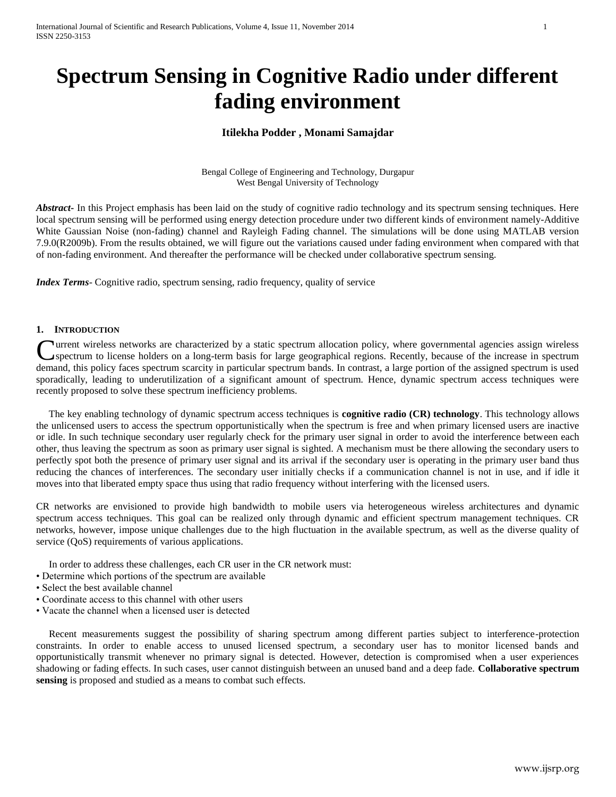# **Spectrum Sensing in Cognitive Radio under different fading environment**

# **Itilekha Podder , Monami Samajdar**

Bengal College of Engineering and Technology, Durgapur West Bengal University of Technology

*Abstract* In this Project emphasis has been laid on the study of cognitive radio technology and its spectrum sensing techniques. Here local spectrum sensing will be performed using energy detection procedure under two different kinds of environment namely-Additive White Gaussian Noise (non-fading) channel and Rayleigh Fading channel. The simulations will be done using MATLAB version 7.9.0(R2009b). From the results obtained, we will figure out the variations caused under fading environment when compared with that of non-fading environment. And thereafter the performance will be checked under collaborative spectrum sensing.

*Index Terms*- Cognitive radio, spectrum sensing, radio frequency, quality of service

## **1. INTRODUCTION**

urrent wireless networks are characterized by a static spectrum allocation policy, where governmental agencies assign wireless spectrum to license holders on a long-term basis for large geographical regions. Recently, because of the increase in spectrum Current wireless networks are characterized by a static spectrum allocation policy, where governmental agencies assign wireless spectrum to license holders on a long-term basis for large geographical regions. Recently, bec sporadically, leading to underutilization of a significant amount of spectrum. Hence, dynamic spectrum access techniques were recently proposed to solve these spectrum inefficiency problems.

 The key enabling technology of dynamic spectrum access techniques is **cognitive radio (CR) technology**. This technology allows the unlicensed users to access the spectrum opportunistically when the spectrum is free and when primary licensed users are inactive or idle. In such technique secondary user regularly check for the primary user signal in order to avoid the interference between each other, thus leaving the spectrum as soon as primary user signal is sighted. A mechanism must be there allowing the secondary users to perfectly spot both the presence of primary user signal and its arrival if the secondary user is operating in the primary user band thus reducing the chances of interferences. The secondary user initially checks if a communication channel is not in use, and if idle it moves into that liberated empty space thus using that radio frequency without interfering with the licensed users.

CR networks are envisioned to provide high bandwidth to mobile users via heterogeneous wireless architectures and dynamic spectrum access techniques. This goal can be realized only through dynamic and efficient spectrum management techniques. CR networks, however, impose unique challenges due to the high fluctuation in the available spectrum, as well as the diverse quality of service (QoS) requirements of various applications.

In order to address these challenges, each CR user in the CR network must:

- Determine which portions of the spectrum are available
- Select the best available channel
- Coordinate access to this channel with other users
- Vacate the channel when a licensed user is detected

 Recent measurements suggest the possibility of sharing spectrum among different parties subject to interference-protection constraints. In order to enable access to unused licensed spectrum, a secondary user has to monitor licensed bands and opportunistically transmit whenever no primary signal is detected. However, detection is compromised when a user experiences shadowing or fading effects. In such cases, user cannot distinguish between an unused band and a deep fade. **Collaborative spectrum sensing** is proposed and studied as a means to combat such effects.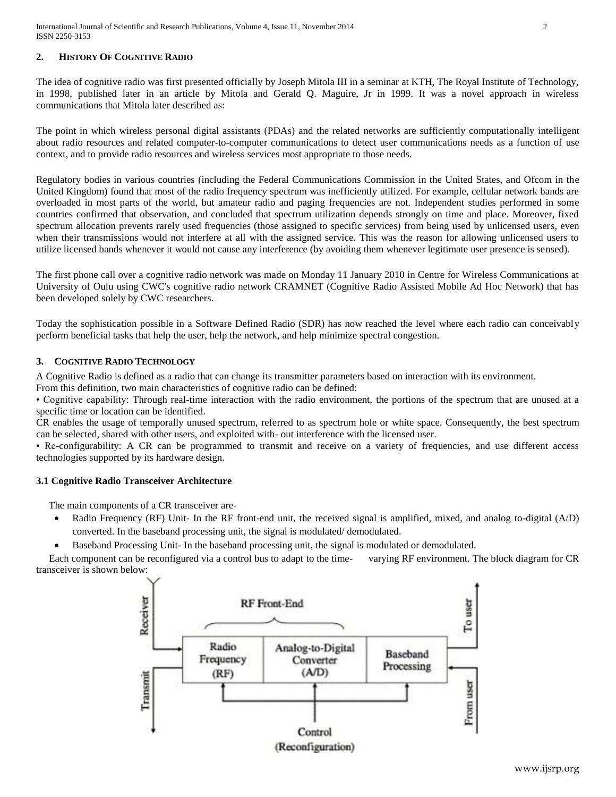## **2. HISTORY OF COGNITIVE RADIO**

The idea of cognitive radio was first presented officially by Joseph Mitola III in a seminar at KTH, The Royal Institute of Technology, in 1998, published later in an article by Mitola and Gerald Q. Maguire, Jr in 1999. It was a novel approach in wireless communications that Mitola later described as:

The point in which wireless personal digital assistants (PDAs) and the related networks are sufficiently computationally intelligent about radio resources and related computer-to-computer communications to detect user communications needs as a function of use context, and to provide radio resources and wireless services most appropriate to those needs.

Regulatory bodies in various countries (including the Federal Communications Commission in the United States, and Ofcom in the United Kingdom) found that most of the radio frequency spectrum was inefficiently utilized. For example, cellular network bands are overloaded in most parts of the world, but amateur radio and paging frequencies are not. Independent studies performed in some countries confirmed that observation, and concluded that spectrum utilization depends strongly on time and place. Moreover, fixed spectrum allocation prevents rarely used frequencies (those assigned to specific services) from being used by unlicensed users, even when their transmissions would not interfere at all with the assigned service. This was the reason for allowing unlicensed users to utilize licensed bands whenever it would not cause any interference (by avoiding them whenever legitimate user presence is sensed).

The first phone call over a cognitive radio network was made on Monday 11 January 2010 in Centre for Wireless Communications at University of Oulu using CWC's cognitive radio network CRAMNET (Cognitive Radio Assisted Mobile Ad Hoc Network) that has been developed solely by CWC researchers.

Today the sophistication possible in a Software Defined Radio (SDR) has now reached the level where each radio can conceivably perform beneficial tasks that help the user, help the network, and help minimize spectral congestion.

## **3. COGNITIVE RADIO TECHNOLOGY**

A Cognitive Radio is defined as a radio that can change its transmitter parameters based on interaction with its environment.

From this definition, two main characteristics of cognitive radio can be defined:

• Cognitive capability: Through real-time interaction with the radio environment, the portions of the spectrum that are unused at a specific time or location can be identified.

CR enables the usage of temporally unused spectrum, referred to as spectrum hole or white space. Consequently, the best spectrum can be selected, shared with other users, and exploited with- out interference with the licensed user.

• Re-configurability: A CR can be programmed to transmit and receive on a variety of frequencies, and use different access technologies supported by its hardware design.

## **3.1 Cognitive Radio Transceiver Architecture**

The main components of a CR transceiver are-

 Radio Frequency (RF) Unit- In the RF front-end unit, the received signal is amplified, mixed, and analog to-digital (A/D) converted. In the baseband processing unit, the signal is modulated/ demodulated.

Baseband Processing Unit- In the baseband processing unit, the signal is modulated or demodulated.

 Each component can be reconfigured via a control bus to adapt to the time- varying RF environment. The block diagram for CR transceiver is shown below:

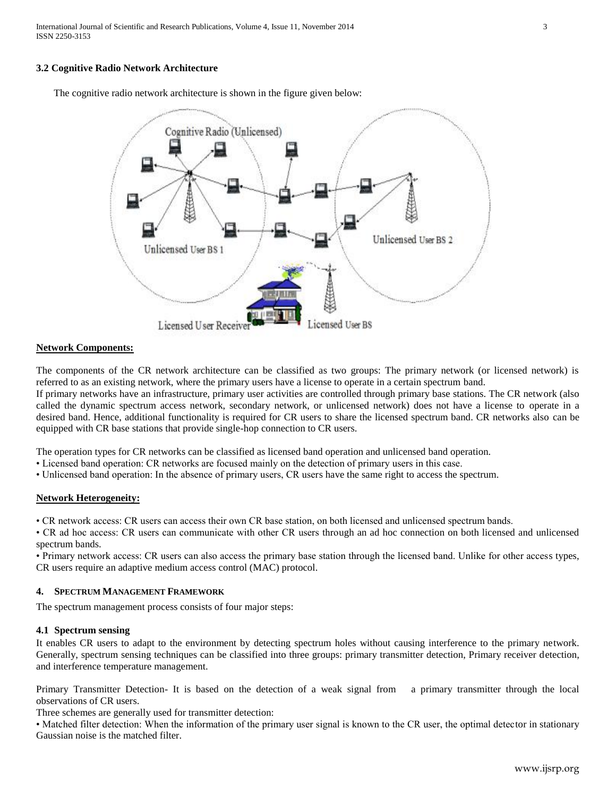International Journal of Scientific and Research Publications, Volume 4, Issue 11, November 2014 3 ISSN 2250-3153

#### **3.2 Cognitive Radio Network Architecture**

The cognitive radio network architecture is shown in the figure given below:



## **Network Components:**

The components of the CR network architecture can be classified as two groups: The primary network (or licensed network) is referred to as an existing network, where the primary users have a license to operate in a certain spectrum band.

If primary networks have an infrastructure, primary user activities are controlled through primary base stations. The CR network (also called the dynamic spectrum access network, secondary network, or unlicensed network) does not have a license to operate in a desired band. Hence, additional functionality is required for CR users to share the licensed spectrum band. CR networks also can be equipped with CR base stations that provide single-hop connection to CR users.

The operation types for CR networks can be classified as licensed band operation and unlicensed band operation.

• Licensed band operation: CR networks are focused mainly on the detection of primary users in this case.

• Unlicensed band operation: In the absence of primary users, CR users have the same right to access the spectrum.

## **Network Heterogeneity:**

• CR network access: CR users can access their own CR base station, on both licensed and unlicensed spectrum bands.

• CR ad hoc access: CR users can communicate with other CR users through an ad hoc connection on both licensed and unlicensed spectrum bands.

• Primary network access: CR users can also access the primary base station through the licensed band. Unlike for other access types, CR users require an adaptive medium access control (MAC) protocol.

#### **4. SPECTRUM MANAGEMENT FRAMEWORK**

The spectrum management process consists of four major steps:

#### **4.1 Spectrum sensing**

It enables CR users to adapt to the environment by detecting spectrum holes without causing interference to the primary network. Generally, spectrum sensing techniques can be classified into three groups: primary transmitter detection, Primary receiver detection, and interference temperature management.

Primary Transmitter Detection- It is based on the detection of a weak signal from a primary transmitter through the local observations of CR users.

Three schemes are generally used for transmitter detection:

• Matched filter detection: When the information of the primary user signal is known to the CR user, the optimal detector in stationary Gaussian noise is the matched filter.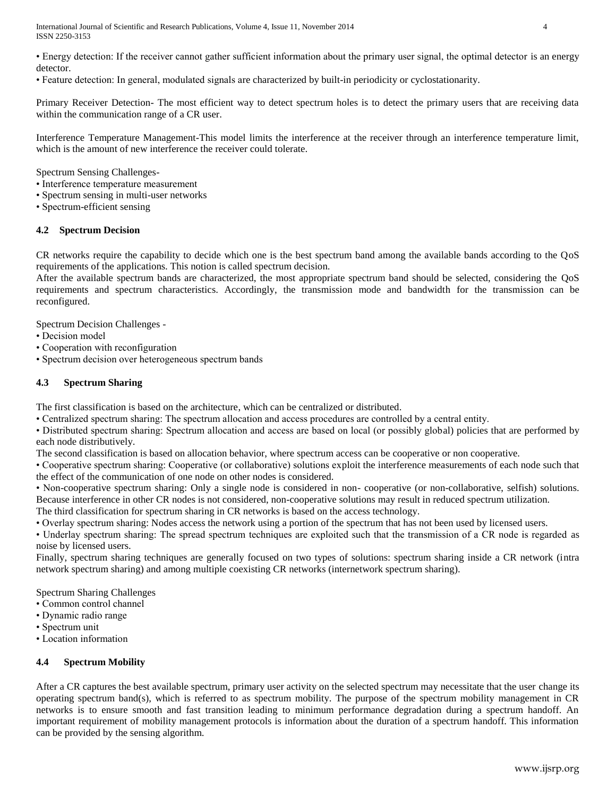International Journal of Scientific and Research Publications, Volume 4, Issue 11, November 2014 4 ISSN 2250-3153

• Energy detection: If the receiver cannot gather sufficient information about the primary user signal, the optimal detector is an energy detector.

• Feature detection: In general, modulated signals are characterized by built-in periodicity or cyclostationarity.

Primary Receiver Detection- The most efficient way to detect spectrum holes is to detect the primary users that are receiving data within the communication range of a CR user.

Interference Temperature Management-This model limits the interference at the receiver through an interference temperature limit, which is the amount of new interference the receiver could tolerate.

Spectrum Sensing Challenges-

- Interference temperature measurement
- Spectrum sensing in multi-user networks
- Spectrum-efficient sensing

#### **4.2 Spectrum Decision**

CR networks require the capability to decide which one is the best spectrum band among the available bands according to the QoS requirements of the applications. This notion is called spectrum decision.

After the available spectrum bands are characterized, the most appropriate spectrum band should be selected, considering the QoS requirements and spectrum characteristics. Accordingly, the transmission mode and bandwidth for the transmission can be reconfigured.

Spectrum Decision Challenges -

- Decision model
- Cooperation with reconfiguration
- Spectrum decision over heterogeneous spectrum bands

## **4.3 Spectrum Sharing**

The first classification is based on the architecture, which can be centralized or distributed.

• Centralized spectrum sharing: The spectrum allocation and access procedures are controlled by a central entity.

• Distributed spectrum sharing: Spectrum allocation and access are based on local (or possibly global) policies that are performed by each node distributively.

The second classification is based on allocation behavior, where spectrum access can be cooperative or non cooperative.

• Cooperative spectrum sharing: Cooperative (or collaborative) solutions exploit the interference measurements of each node such that the effect of the communication of one node on other nodes is considered.

• Non-cooperative spectrum sharing: Only a single node is considered in non- cooperative (or non-collaborative, selfish) solutions. Because interference in other CR nodes is not considered, non-cooperative solutions may result in reduced spectrum utilization. The third classification for spectrum sharing in CR networks is based on the access technology.

• Overlay spectrum sharing: Nodes access the network using a portion of the spectrum that has not been used by licensed users.

• Underlay spectrum sharing: The spread spectrum techniques are exploited such that the transmission of a CR node is regarded as noise by licensed users.

Finally, spectrum sharing techniques are generally focused on two types of solutions: spectrum sharing inside a CR network (intra network spectrum sharing) and among multiple coexisting CR networks (internetwork spectrum sharing).

Spectrum Sharing Challenges

- Common control channel
- Dynamic radio range
- Spectrum unit
- Location information

## **4.4 Spectrum Mobility**

After a CR captures the best available spectrum, primary user activity on the selected spectrum may necessitate that the user change its operating spectrum band(s), which is referred to as spectrum mobility. The purpose of the spectrum mobility management in CR networks is to ensure smooth and fast transition leading to minimum performance degradation during a spectrum handoff. An important requirement of mobility management protocols is information about the duration of a spectrum handoff. This information can be provided by the sensing algorithm.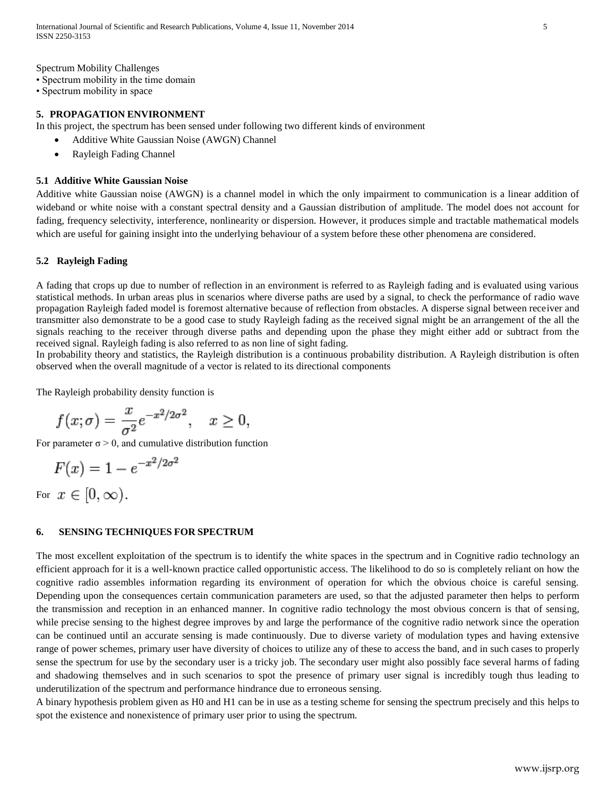Spectrum Mobility Challenges

• Spectrum mobility in the time domain

• Spectrum mobility in space

#### **5. PROPAGATION ENVIRONMENT**

In this project, the spectrum has been sensed under following two different kinds of environment

- Additive White Gaussian Noise (AWGN) Channel
- Rayleigh Fading Channel

#### **5.1 Additive White Gaussian Noise**

Additive white Gaussian noise (AWGN) is a channel model in which the only impairment to communication is a linear addition of wideband or white noise with a constant spectral density and a Gaussian distribution of amplitude. The model does not account for fading, frequency selectivity, interference, nonlinearity or dispersion. However, it produces simple and tractable mathematical models which are useful for gaining insight into the underlying behaviour of a system before these other phenomena are considered.

#### **5.2 Rayleigh Fading**

A fading that crops up due to number of reflection in an environment is referred to as Rayleigh fading and is evaluated using various statistical methods. In urban areas plus in scenarios where diverse paths are used by a signal, to check the performance of radio wave propagation Rayleigh faded model is foremost alternative because of reflection from obstacles. A disperse signal between receiver and transmitter also demonstrate to be a good case to study Rayleigh fading as the received signal might be an arrangement of the all the signals reaching to the receiver through diverse paths and depending upon the phase they might either add or subtract from the received signal. Rayleigh fading is also referred to as non line of sight fading.

In [probability theory](http://en.wikipedia.org/wiki/Probability_theory) and [statistics,](http://en.wikipedia.org/wiki/Statistics) the Rayleigh distribution is a [continuous probability](http://en.wikipedia.org/wiki/Continuous_probability_distribution) distribution. A Rayleigh distribution is often observed when the overall magnitude of a vector is related to its directional [components](http://en.wikipedia.org/wiki/Euclidean_vector#Vector_components)

The Rayleig[h probability density function](http://en.wikipedia.org/wiki/Probability_density_function) is

$$
f(x; \sigma) = \frac{x}{\sigma^2} e^{-x^2/2\sigma^2}, \quad x \ge 0,
$$

For parameter  $\sigma > 0$ , and [cumulative distribution function](http://en.wikipedia.org/wiki/Cumulative_distribution_function)

$$
F(x) = 1 - e^{-x^2/2\sigma^2}
$$

For  $x \in [0, \infty)$ .

## **6. SENSING TECHNIQUES FOR SPECTRUM**

The most excellent exploitation of the spectrum is to identify the white spaces in the spectrum and in Cognitive radio technology an efficient approach for it is a well-known practice called opportunistic access. The likelihood to do so is completely reliant on how the cognitive radio assembles information regarding its environment of operation for which the obvious choice is careful sensing. Depending upon the consequences certain communication parameters are used, so that the adjusted parameter then helps to perform the transmission and reception in an enhanced manner. In cognitive radio technology the most obvious concern is that of sensing, while precise sensing to the highest degree improves by and large the performance of the cognitive radio network since the operation can be continued until an accurate sensing is made continuously. Due to diverse variety of modulation types and having extensive range of power schemes, primary user have diversity of choices to utilize any of these to access the band, and in such cases to properly sense the spectrum for use by the secondary user is a tricky job. The secondary user might also possibly face several harms of fading and shadowing themselves and in such scenarios to spot the presence of primary user signal is incredibly tough thus leading to underutilization of the spectrum and performance hindrance due to erroneous sensing.

A binary hypothesis problem given as H0 and H1 can be in use as a testing scheme for sensing the spectrum precisely and this helps to spot the existence and nonexistence of primary user prior to using the spectrum.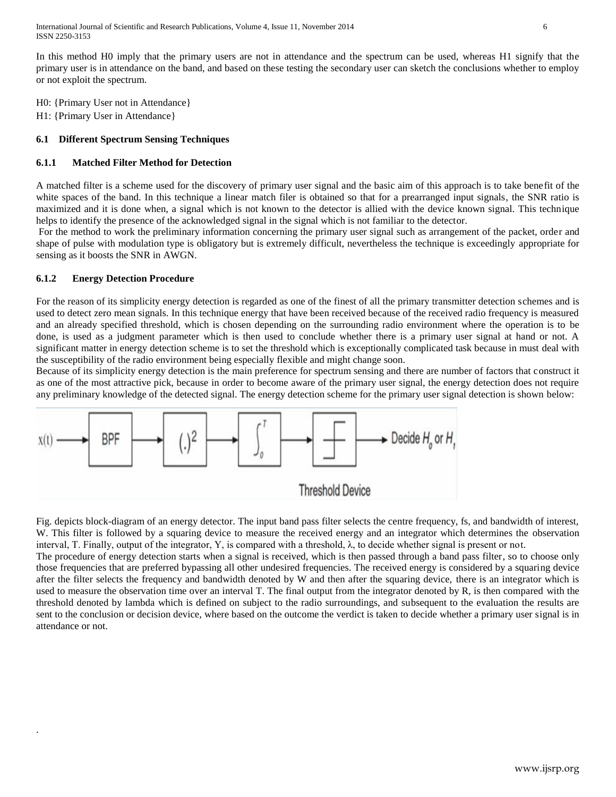International Journal of Scientific and Research Publications, Volume 4, Issue 11, November 2014 6 ISSN 2250-3153

In this method H0 imply that the primary users are not in attendance and the spectrum can be used, whereas H1 signify that the primary user is in attendance on the band, and based on these testing the secondary user can sketch the conclusions whether to employ or not exploit the spectrum.

H0: {Primary User not in Attendance}

H1: {Primary User in Attendance}

# **6.1 Different Spectrum Sensing Techniques**

# **6.1.1 Matched Filter Method for Detection**

A matched filter is a scheme used for the discovery of primary user signal and the basic aim of this approach is to take benefit of the white spaces of the band. In this technique a linear match filer is obtained so that for a prearranged input signals, the SNR ratio is maximized and it is done when, a signal which is not known to the detector is allied with the device known signal. This technique helps to identify the presence of the acknowledged signal in the signal which is not familiar to the detector.

For the method to work the preliminary information concerning the primary user signal such as arrangement of the packet, order and shape of pulse with modulation type is obligatory but is extremely difficult, nevertheless the technique is exceedingly appropriate for sensing as it boosts the SNR in AWGN.

# **6.1.2 Energy Detection Procedure**

.

For the reason of its simplicity energy detection is regarded as one of the finest of all the primary transmitter detection schemes and is used to detect zero mean signals. In this technique energy that have been received because of the received radio frequency is measured and an already specified threshold, which is chosen depending on the surrounding radio environment where the operation is to be done, is used as a judgment parameter which is then used to conclude whether there is a primary user signal at hand or not. A significant matter in energy detection scheme is to set the threshold which is exceptionally complicated task because in must deal with the susceptibility of the radio environment being especially flexible and might change soon.

Because of its simplicity energy detection is the main preference for spectrum sensing and there are number of factors that construct it as one of the most attractive pick, because in order to become aware of the primary user signal, the energy detection does not require any preliminary knowledge of the detected signal. The energy detection scheme for the primary user signal detection is shown below:



Fig. depicts block-diagram of an energy detector. The input band pass filter selects the centre frequency, fs, and bandwidth of interest, W. This filter is followed by a squaring device to measure the received energy and an integrator which determines the observation interval, T. Finally, output of the integrator, Y, is compared with a threshold,  $\lambda$ , to decide whether signal is present or not.

The procedure of energy detection starts when a signal is received, which is then passed through a band pass filter, so to choose only those frequencies that are preferred bypassing all other undesired frequencies. The received energy is considered by a squaring device after the filter selects the frequency and bandwidth denoted by W and then after the squaring device, there is an integrator which is used to measure the observation time over an interval T. The final output from the integrator denoted by R, is then compared with the threshold denoted by lambda which is defined on subject to the radio surroundings, and subsequent to the evaluation the results are sent to the conclusion or decision device, where based on the outcome the verdict is taken to decide whether a primary user signal is in attendance or not.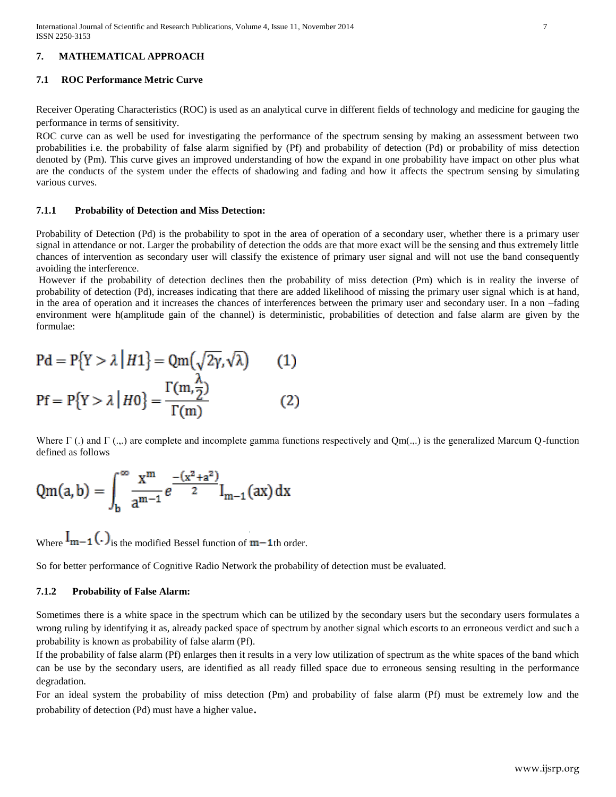# **7. MATHEMATICAL APPROACH**

## **7.1 ROC Performance Metric Curve**

Receiver Operating Characteristics (ROC) is used as an analytical curve in different fields of technology and medicine for gauging the performance in terms of sensitivity.

ROC curve can as well be used for investigating the performance of the spectrum sensing by making an assessment between two probabilities i.e. the probability of false alarm signified by (Pf) and probability of detection (Pd) or probability of miss detection denoted by (Pm). This curve gives an improved understanding of how the expand in one probability have impact on other plus what are the conducts of the system under the effects of shadowing and fading and how it affects the spectrum sensing by simulating various curves.

## **7.1.1 Probability of Detection and Miss Detection:**

Probability of Detection (Pd) is the probability to spot in the area of operation of a secondary user, whether there is a primary user signal in attendance or not. Larger the probability of detection the odds are that more exact will be the sensing and thus extremely little chances of intervention as secondary user will classify the existence of primary user signal and will not use the band consequently avoiding the interference.

However if the probability of detection declines then the probability of miss detection (Pm) which is in reality the inverse of probability of detection (Pd), increases indicating that there are added likelihood of missing the primary user signal which is at hand, in the area of operation and it increases the chances of interferences between the primary user and secondary user. In a non –fading environment were h(amplitude gain of the channel) is deterministic, probabilities of detection and false alarm are given by the formulae:

$$
Pd = P\{Y > \lambda | H1\} = Qm(\sqrt{2\gamma}, \sqrt{\lambda})
$$
 (1)  

$$
Pf = P\{Y > \lambda | H0\} = \frac{\Gamma(m, \frac{\lambda}{2})}{\Gamma(m)}
$$
 (2)

Where  $\Gamma$  (.) and  $\Gamma$  (...) are complete and incomplete gamma functions respectively and Qm(...) is the generalized Marcum Q-function defined as follows

$$
Qm(a,b) = \int_b^{\infty} \frac{x^m}{a^{m-1}} e^{\frac{-(x^2+a^2)}{2}} I_{m-1}(ax) dx
$$

Where  $I_{m-1}$  (.)<sub>is the modified Bessel function of  $m-1$ th order.</sub>

So for better performance of Cognitive Radio Network the probability of detection must be evaluated.

## **7.1.2 Probability of False Alarm:**

Sometimes there is a white space in the spectrum which can be utilized by the secondary users but the secondary users formulates a wrong ruling by identifying it as, already packed space of spectrum by another signal which escorts to an erroneous verdict and such a probability is known as probability of false alarm (Pf).

If the probability of false alarm (Pf) enlarges then it results in a very low utilization of spectrum as the white spaces of the band which can be use by the secondary users, are identified as all ready filled space due to erroneous sensing resulting in the performance degradation.

For an ideal system the probability of miss detection (Pm) and probability of false alarm (Pf) must be extremely low and the probability of detection (Pd) must have a higher value.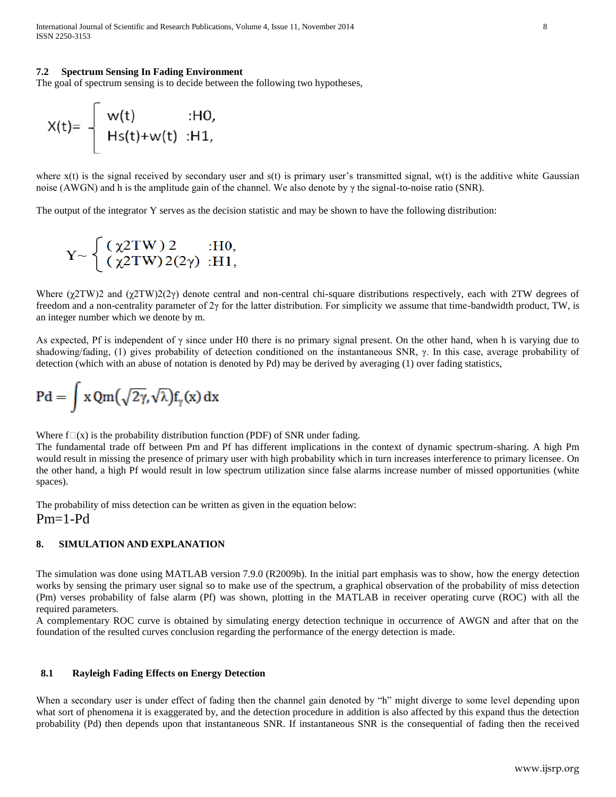International Journal of Scientific and Research Publications, Volume 4, Issue 11, November 2014 8 ISSN 2250-3153

#### **7.2 Spectrum Sensing In Fading Environment**

The goal of spectrum sensing is to decide between the following two hypotheses,

$$
X(t)=\left\{\begin{array}{ll}w(t)&\text{:HO,}\\Hs(t)+w(t)&\text{:H1,}\end{array}\right.
$$

where  $x(t)$  is the signal received by secondary user and  $s(t)$  is primary user's transmitted signal, w(t) is the additive white Gaussian noise (AWGN) and h is the amplitude gain of the channel. We also denote by  $\gamma$  the signal-to-noise ratio (SNR).

The output of the integrator Y serves as the decision statistic and may be shown to have the following distribution:

$$
Y \sim \begin{cases} (\chi 2TW) 2 & : H0, \\ (\chi 2TW) 2(2\gamma) & : H1, \end{cases}
$$

Where  $(χ2TW)2$  and  $(χ2TW)2(2γ)$  denote central and non-central chi-square distributions respectively, each with 2TW degrees of freedom and a non-centrality parameter of  $2\gamma$  for the latter distribution. For simplicity we assume that time-bandwidth product, TW, is an integer number which we denote by m.

As expected, Pf is independent of  $\gamma$  since under H0 there is no primary signal present. On the other hand, when h is varying due to shadowing/fading, (1) gives probability of detection conditioned on the instantaneous SNR, γ. In this case, average probability of detection (which with an abuse of notation is denoted by Pd) may be derived by averaging (1) over fading statistics,

$$
Pd = \int x Qm(\sqrt{2\gamma}, \sqrt{\lambda}) f_{\gamma}(x) dx
$$

Where  $f(x)$  is the probability distribution function (PDF) of SNR under fading.

The fundamental trade off between Pm and Pf has different implications in the context of dynamic spectrum-sharing. A high Pm would result in missing the presence of primary user with high probability which in turn increases interference to primary licensee. On the other hand, a high Pf would result in low spectrum utilization since false alarms increase number of missed opportunities (white spaces).

The probability of miss detection can be written as given in the equation below:  $Pm=1-Pd$ 

#### **8. SIMULATION AND EXPLANATION**

The simulation was done using MATLAB version 7.9.0 (R2009b). In the initial part emphasis was to show, how the energy detection works by sensing the primary user signal so to make use of the spectrum, a graphical observation of the probability of miss detection (Pm) verses probability of false alarm (Pf) was shown, plotting in the MATLAB in receiver operating curve (ROC) with all the required parameters.

A complementary ROC curve is obtained by simulating energy detection technique in occurrence of AWGN and after that on the foundation of the resulted curves conclusion regarding the performance of the energy detection is made.

#### **8.1 Rayleigh Fading Effects on Energy Detection**

When a secondary user is under effect of fading then the channel gain denoted by "h" might diverge to some level depending upon what sort of phenomena it is exaggerated by, and the detection procedure in addition is also affected by this expand thus the detection probability (Pd) then depends upon that instantaneous SNR. If instantaneous SNR is the consequential of fading then the received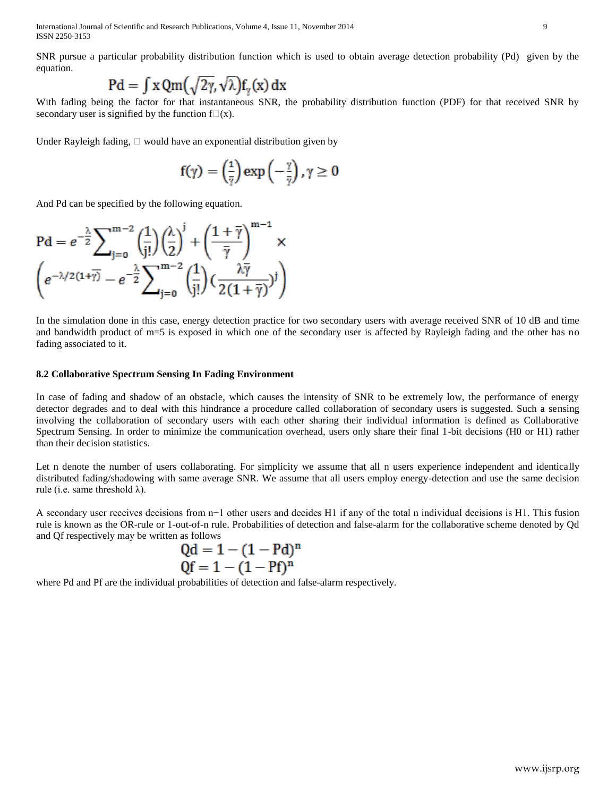International Journal of Scientific and Research Publications, Volume 4, Issue 11, November 2014 9 ISSN 2250-3153

SNR pursue a particular probability distribution function which is used to obtain average detection probability (Pd) given by the equation.

$$
Pd = \int x Qm\left(\sqrt{2\gamma}, \sqrt{\lambda}\right) f_{\gamma}(x) dx
$$

With fading being the factor for that instantaneous SNR, the probability distribution function (PDF) for that received SNR by secondary user is signified by the function  $f(x)$ .

Under Rayleigh fading,  $\Box$  would have an exponential distribution given by

$$
f(\gamma) = \left(\frac{1}{\bar{\gamma}}\right) \exp\left(-\frac{\gamma}{\bar{\gamma}}\right), \gamma \geq 0
$$

And Pd can be specified by the following equation.

$$
\text{Pd} = e^{-\frac{\lambda}{2}} \sum_{j=0}^{m-2} \left(\frac{1}{j!}\right) \left(\frac{\lambda}{2}\right)^j + \left(\frac{1+\overline{\gamma}}{\overline{\gamma}}\right)^{m-1} \times \left(e^{-\lambda/2(1+\overline{\gamma})} - e^{-\frac{\lambda}{2}} \sum_{j=0}^{m-2} \left(\frac{1}{j!}\right) \left(\frac{\lambda \overline{\gamma}}{2(1+\overline{\gamma})}\right)^j\right)
$$

In the simulation done in this case, energy detection practice for two secondary users with average received SNR of 10 dB and time and bandwidth product of m=5 is exposed in which one of the secondary user is affected by Rayleigh fading and the other has no fading associated to it.

#### **8.2 Collaborative Spectrum Sensing In Fading Environment**

In case of fading and shadow of an obstacle, which causes the intensity of SNR to be extremely low, the performance of energy detector degrades and to deal with this hindrance a procedure called collaboration of secondary users is suggested. Such a sensing involving the collaboration of secondary users with each other sharing their individual information is defined as Collaborative Spectrum Sensing. In order to minimize the communication overhead, users only share their final 1-bit decisions (H0 or H1) rather than their decision statistics.

Let n denote the number of users collaborating. For simplicity we assume that all n users experience independent and identically distributed fading/shadowing with same average SNR. We assume that all users employ energy-detection and use the same decision rule (i.e. same threshold  $\lambda$ ).

A secondary user receives decisions from n−1 other users and decides H1 if any of the total n individual decisions is H1. This fusion rule is known as the OR-rule or 1-out-of-n rule. Probabilities of detection and false-alarm for the collaborative scheme denoted by Qd and Qf respectively may be written as follows

$$
Qd = 1 - (1 - Pd)^n
$$
  
Qf = 1 - (1 - Pf)<sup>n</sup>

where Pd and Pf are the individual probabilities of detection and false-alarm respectively.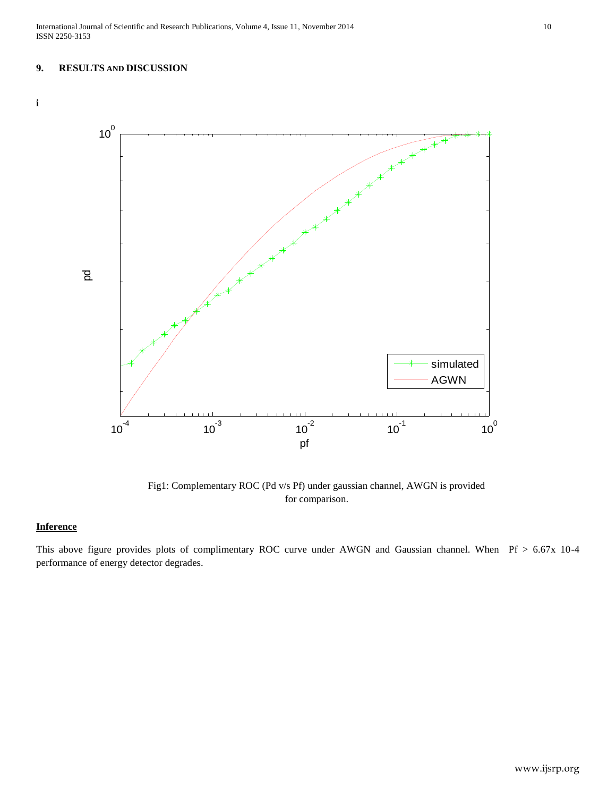## **9. RESULTS AND DISCUSSION**



Fig1: Complementary ROC (Pd v/s Pf) under gaussian channel, AWGN is provided for comparison.

# **Inference**

This above figure provides plots of complimentary ROC curve under AWGN and Gaussian channel. When Pf > 6.67x 10-4 performance of energy detector degrades.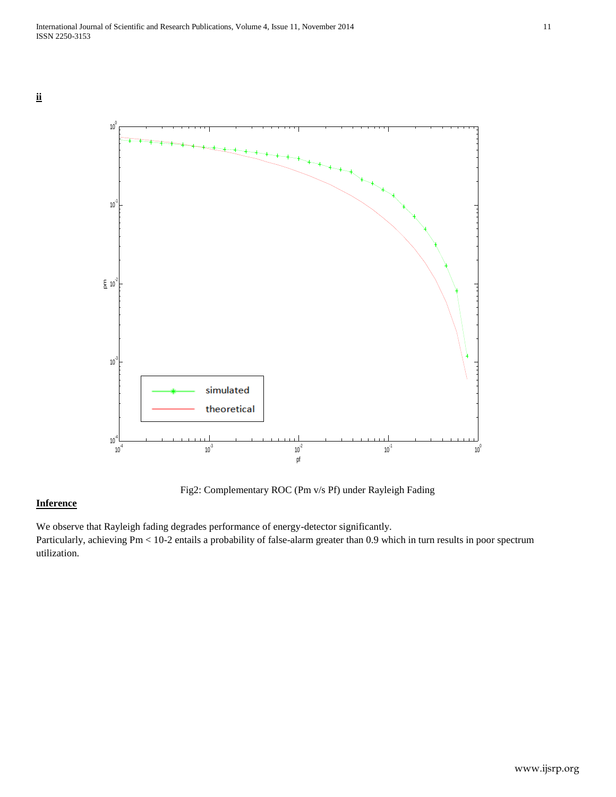**ii**



Fig2: Complementary ROC (Pm v/s Pf) under Rayleigh Fading

# **Inference**

We observe that Rayleigh fading degrades performance of energy-detector significantly. Particularly, achieving Pm < 10-2 entails a probability of false-alarm greater than 0.9 which in turn results in poor spectrum utilization.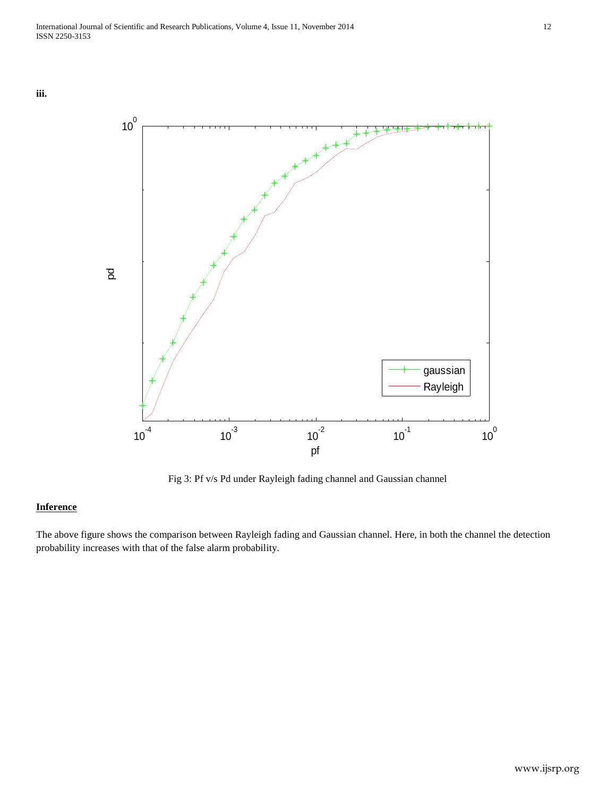



Fig 3: Pf v/s Pd under Rayleigh fading channel and Gaussian channel

# **Inference**

The above figure shows the comparison between Rayleigh fading and Gaussian channel. Here, in both the channel the detection probability increases with that of the false alarm probability.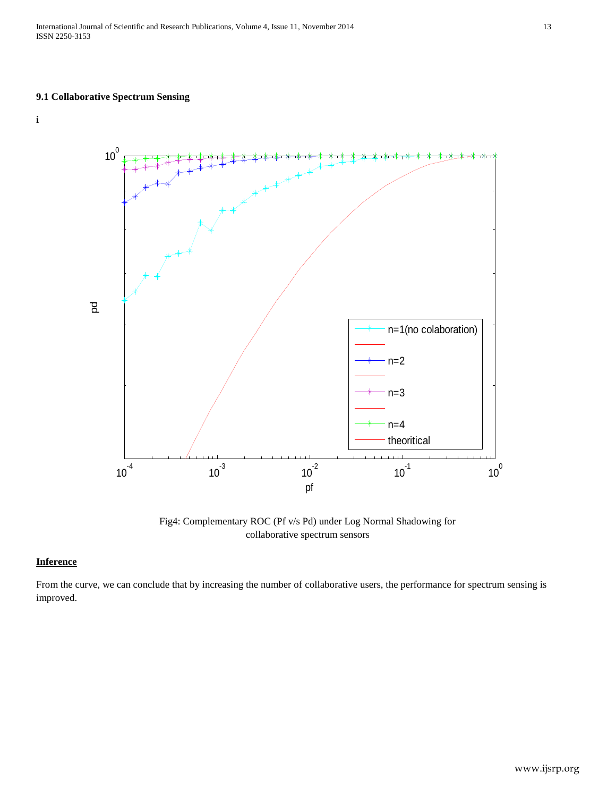International Journal of Scientific and Research Publications, Volume 4, Issue 11, November 2014 13 ISSN 2250-3153

# **9.1 Collaborative Spectrum Sensing**

**i**



Fig4: Complementary ROC (Pf v/s Pd) under Log Normal Shadowing for collaborative spectrum sensors

## **Inference**

From the curve, we can conclude that by increasing the number of collaborative users, the performance for spectrum sensing is improved.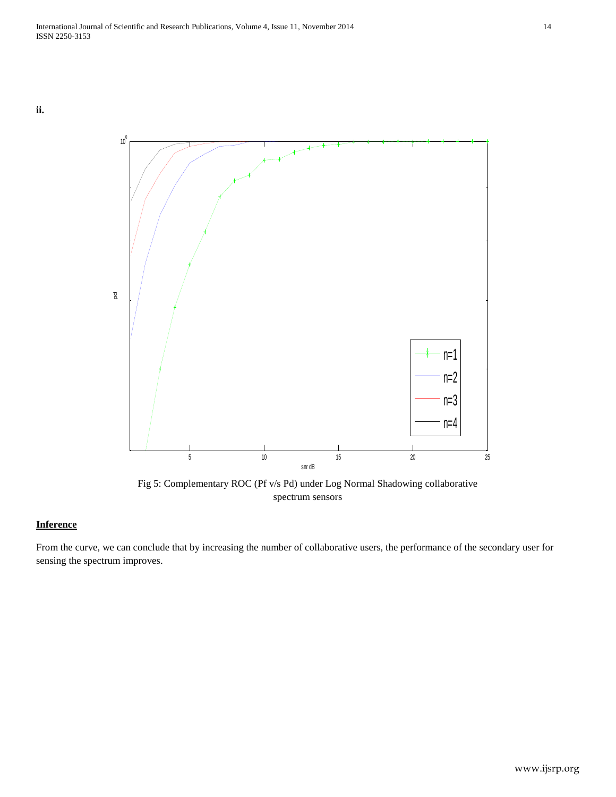

Fig 5: Complementary ROC (Pf v/s Pd) under Log Normal Shadowing collaborative spectrum sensors 5 10 15 20 25

## **Inference**

From the curve, we can conclude that by increasing the number of collaborative users, the performance of the secondary user for sensing the spectrum improves.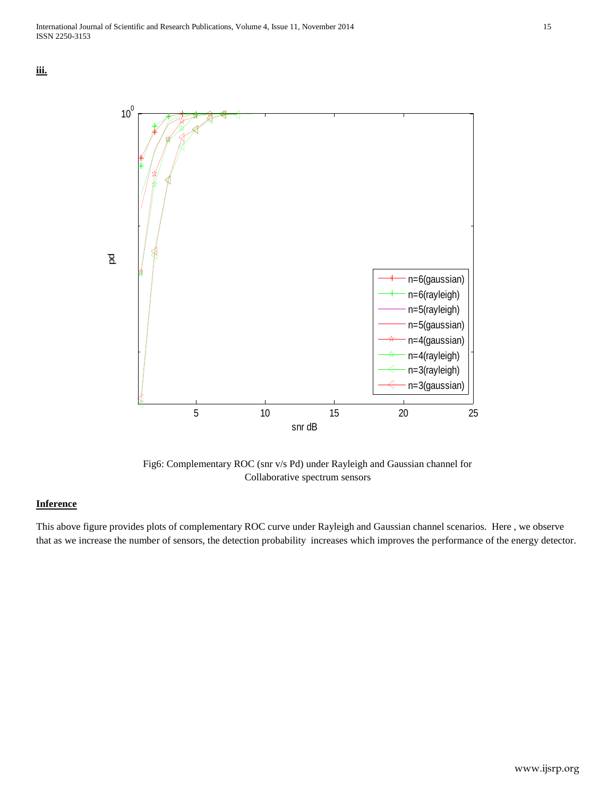



Fig6: Complementary ROC (snr v/s Pd) under Rayleigh and Gaussian channel for Collaborative spectrum sensors

# **Inference**

This above figure provides plots of complementary ROC curve under Rayleigh and Gaussian channel scenarios. Here , we observe that as we increase the number of sensors, the detection probability increases which improves the performance of the energy detector.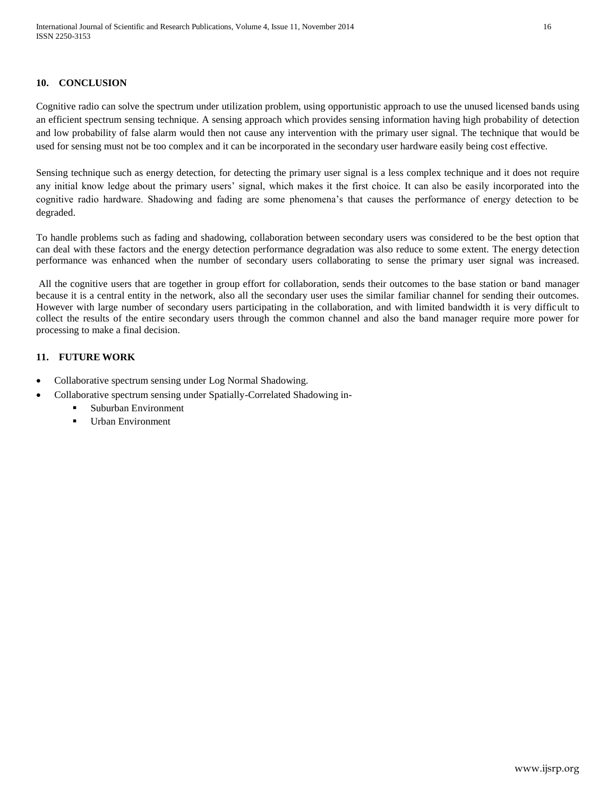# **10. CONCLUSION**

Cognitive radio can solve the spectrum under utilization problem, using opportunistic approach to use the unused licensed bands using an efficient spectrum sensing technique. A sensing approach which provides sensing information having high probability of detection and low probability of false alarm would then not cause any intervention with the primary user signal. The technique that would be used for sensing must not be too complex and it can be incorporated in the secondary user hardware easily being cost effective.

Sensing technique such as energy detection, for detecting the primary user signal is a less complex technique and it does not require any initial know ledge about the primary users' signal, which makes it the first choice. It can also be easily incorporated into the cognitive radio hardware. Shadowing and fading are some phenomena's that causes the performance of energy detection to be degraded.

To handle problems such as fading and shadowing, collaboration between secondary users was considered to be the best option that can deal with these factors and the energy detection performance degradation was also reduce to some extent. The energy detection performance was enhanced when the number of secondary users collaborating to sense the primary user signal was increased.

All the cognitive users that are together in group effort for collaboration, sends their outcomes to the base station or band manager because it is a central entity in the network, also all the secondary user uses the similar familiar channel for sending their outcomes. However with large number of secondary users participating in the collaboration, and with limited bandwidth it is very difficult to collect the results of the entire secondary users through the common channel and also the band manager require more power for processing to make a final decision.

# **11. FUTURE WORK**

- Collaborative spectrum sensing under Log Normal Shadowing.
	- Collaborative spectrum sensing under Spatially-Correlated Shadowing in-
		- Suburban Environment
		- **Urban Environment**